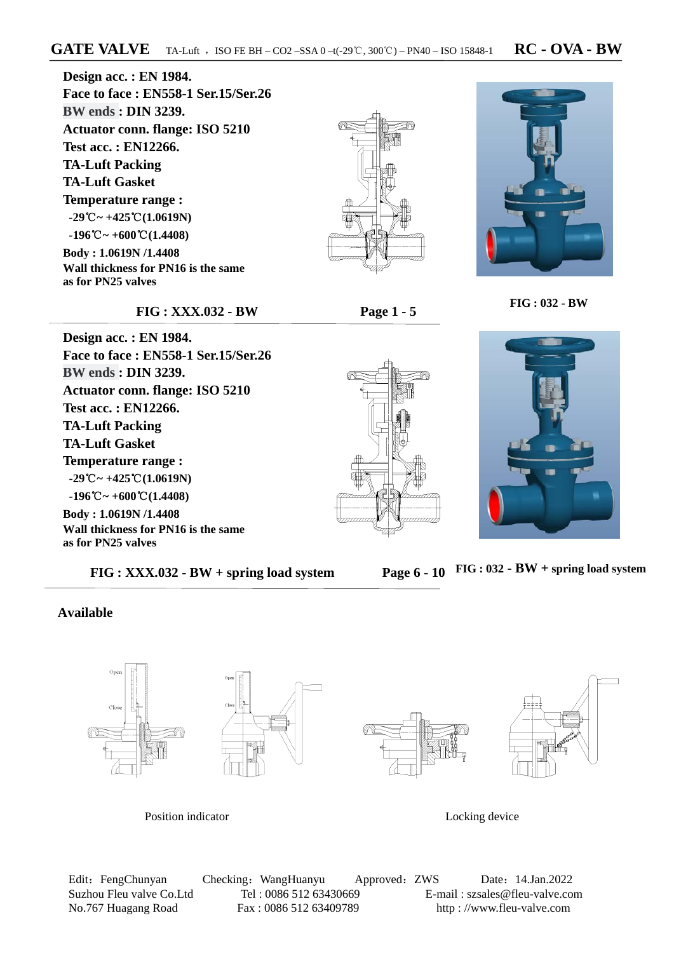**Design acc. : EN 1984. Face to face : EN558-1 Ser.15/Ser.26 BW ends : DIN 3239. Actuator conn. flange: ISO 5210 Test acc. : EN12266. TA-Luft Packing TA-Luft Gasket Temperature range : -29**℃**~ +425**℃**(1.0619N) -196**℃**~ +600**℃**(1.4408) Body : 1.0619N /1.4408 Wall thickness for PN16 is the same as for PN25 valves** 





#### **FIG : XXX.032 - BW Page 1 - 5**

 **FIG : 032 - BW**

**Design acc. : EN 1984. Face to face : EN558-1 Ser.15/Ser.26 BW ends : DIN 3239. Actuator conn. flange: ISO 5210 Test acc. : EN12266. TA-Luft Packing TA-Luft Gasket Temperature range : -29**℃**~ +425**℃**(1.0619N) -196**℃**~ +600**℃**(1.4408) Body : 1.0619N /1.4408 Wall thickness for PN16 is the same as for PN25 valves**

 **FIG : XXX.032 - BW + spring load system Page 6 - 10** 





**FIG : 032 - BW + spring load system** 

#### **Available**



Position indicator Locking device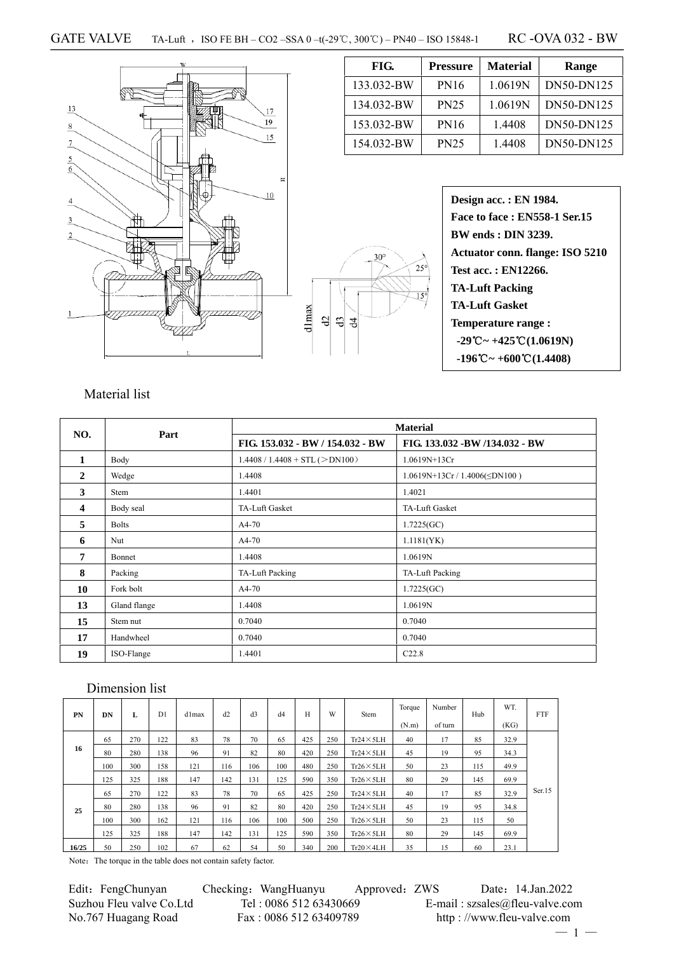#### GATE VALVE TA-Luft, ISO FE BH – CO2 – SSA 0 –t(-29°C, 300°C) – PN40 – ISO 15848-1 RC -OVA 032 - BW

 $13$ 17  $\overline{19}$  $\overline{\mathbf{8}}$ 15  $\overline{1}$ 5  $\overline{6}$  $10$  $\sqrt{4}$  $\overline{3}$  $\overline{2}$ 

| FIG.       | <b>Pressure</b> | <b>Material</b> | Range      |
|------------|-----------------|-----------------|------------|
| 133.032-BW | <b>PN16</b>     | 1.0619N         | DN50-DN125 |
| 134.032-BW | <b>PN25</b>     | 1.0619N         | DN50-DN125 |
| 153.032-BW | <b>PN16</b>     | 1.4408          | DN50-DN125 |
| 154.032-BW | <b>PN25</b>     | 1.4408          | DN50-DN125 |

**Design acc. : EN 1984. Face to face : EN558-1 Ser.15 BW ends : DIN 3239. Actuator conn. flange: ISO 5210 Test acc. : EN12266. TA-Luft Packing TA-Luft Gasket Temperature range :**   $-29^{\circ}\text{C} \sim +425^{\circ}\text{C} (1.0619\text{N})$  **-196 ~ +** ℃ **600 (** ℃ **1.4408)** 

### Material list

| NO.                     | Part         |                                  | <b>Material</b>                   |  |  |
|-------------------------|--------------|----------------------------------|-----------------------------------|--|--|
|                         |              | FIG. 153.032 - BW / 154.032 - BW | FIG. 133.032 - BW /134.032 - BW   |  |  |
| $\mathbf{1}$            | Body         | $1.4408 / 1.4408 + STL (>DN100)$ | 1.0619N+13Cr                      |  |  |
| $\overline{2}$          | Wedge        | 1.4408                           | $1.0619N+13Cr/1.4006(\leq DN100)$ |  |  |
| 3                       | Stem         | 1.4401                           | 1.4021                            |  |  |
| $\overline{\mathbf{4}}$ | Body seal    | TA-Luft Gasket                   | TA-Luft Gasket                    |  |  |
| 5                       | <b>Bolts</b> | $A4-70$                          | 1.7225(GC)                        |  |  |
| 6                       | Nut          | A4-70                            | 1.1181(YK)                        |  |  |
| 7                       | Bonnet       | 1.4408                           | 1.0619N                           |  |  |
| 8                       | Packing      | TA-Luft Packing                  | TA-Luft Packing                   |  |  |
| 10                      | Fork bolt    | $A4-70$                          | 1.7225(GC)                        |  |  |
| 13                      | Gland flange | 1.4408                           | 1.0619N                           |  |  |
| 15                      | Stem nut     | 0.7040                           | 0.7040                            |  |  |
| 17                      | Handwheel    | 0.7040                           | 0.7040                            |  |  |
| 19                      | ISO-Flange   | 1.4401                           | C22.8                             |  |  |

dlmax  $\vartheta$ d3 침  $30^\circ$ 

 $25^\circ$ 

## Dimension list

| <b>PN</b> | DN  | L   | D <sub>1</sub> | d1max | d2  | d <sub>3</sub> | d4  | H   | W   | Stem              | Torque<br>(N.m) | Number<br>of turn | Hub | WT.<br>(KG) | <b>FTF</b> |
|-----------|-----|-----|----------------|-------|-----|----------------|-----|-----|-----|-------------------|-----------------|-------------------|-----|-------------|------------|
|           | 65  | 270 | 122            | 83    | 78  | 70             | 65  | 425 | 250 | $Tr24 \times 5LH$ | 40              | 17                | 85  | 32.9        |            |
| 16        | 80  | 280 | 138            | 96    | 91  | 82             | 80  | 420 | 250 | $Tr24 \times 5LH$ | 45              | 19                | 95  | 34.3        |            |
|           | 100 | 300 | 158            | 121   | 116 | 106            | 100 | 480 | 250 | $Tr26 \times 5LH$ | 50              | 23                | 115 | 49.9        |            |
|           | 125 | 325 | 188            | 147   | 142 | 131            | 125 | 590 | 350 | $Tr26 \times 5LH$ | 80              | 29                | 145 | 69.9        |            |
|           | 65  | 270 | 122            | 83    | 78  | 70             | 65  | 425 | 250 | $Tr24 \times 5LH$ | 40              | 17                | 85  | 32.9        | Ser.15     |
| 25        | 80  | 280 | 138            | 96    | 91  | 82             | 80  | 420 | 250 | $Tr24 \times 5LH$ | 45              | 19                | 95  | 34.8        |            |
|           | 100 | 300 | 162            | 121   | 116 | 106            | 100 | 500 | 250 | $Tr26 \times 5LH$ | 50              | 23                | 115 | 50          |            |
|           | 125 | 325 | 188            | 147   | 142 | 131            | 125 | 590 | 350 | $Tr26 \times 5LH$ | 80              | 29                | 145 | 69.9        |            |
| 16/25     | 50  | 250 | 102            | 67    | 62  | 54             | 50  | 340 | 200 | $Tr20 \times 4LH$ | 35              | 15                | 60  | 23.1        |            |

Note: The torque in the table does not contain safety factor.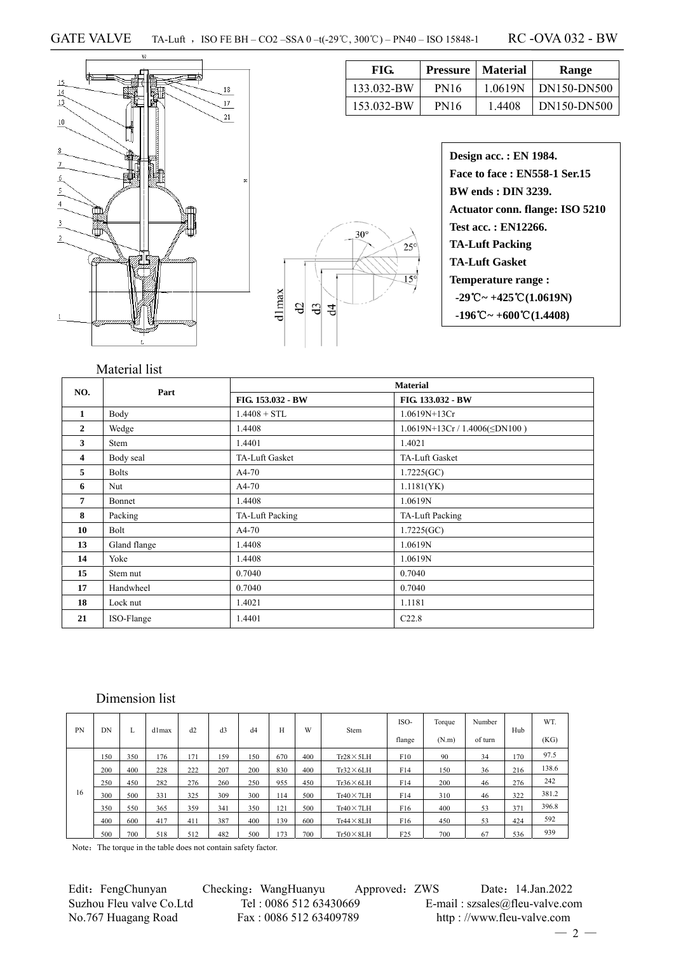dlmax

 $\frac{d}{d}$ 

 $\overline{d}$ 



| FIG.       | Pressure    | <b>Material</b> | Range       |
|------------|-------------|-----------------|-------------|
| 133.032-BW | <b>PN16</b> | 1 0619N         | DN150-DN500 |
| 153.032-BW | <b>PN16</b> | 1.4408          | DN150-DN500 |

| Design acc.: EN 1984.                                             |
|-------------------------------------------------------------------|
| Face to face: EN558-1 Ser.15                                      |
| <b>BW</b> ends : <b>DIN</b> 3239.                                 |
| Actuator conn. flange: ISO 5210                                   |
| Test acc.: EN12266.                                               |
| <b>TA-Luft Packing</b>                                            |
| <b>TA-Luft Gasket</b>                                             |
| <b>Temperature range:</b>                                         |
| $-29^{\circ}\text{C} \sim +425^{\circ}\text{C} (1.0619 \text{N})$ |
| $-196^{\circ}\text{C} \sim +600^{\circ}\text{C} (1.4408)$         |

### Material list

| NO.            | Part         |                       | <b>Material</b>                     |
|----------------|--------------|-----------------------|-------------------------------------|
|                |              | FIG. 153.032 - BW     | FIG. 133.032 - BW                   |
| 1              | Body         | $1.4408 + STL$        | $1.0619N+13Cr$                      |
| $\mathbf{2}$   | Wedge        | 1.4408                | $1.0619N+13Cr / 1.4006(\leq DN100)$ |
| 3              | Stem         | 1.4401                | 1.4021                              |
| 4              | Body seal    | <b>TA-Luft Gasket</b> | TA-Luft Gasket                      |
| 5              | <b>Bolts</b> | $A4-70$               | 1.7225(GC)                          |
| 6              | Nut          | $A4-70$               | 1.1181(YK)                          |
| $\overline{7}$ | Bonnet       | 1.4408                | 1.0619N                             |
| 8              | Packing      | TA-Luft Packing       | TA-Luft Packing                     |
| 10             | Bolt         | $A4-70$               | 1.7225(GC)                          |
| 13             | Gland flange | 1.4408                | 1.0619N                             |
| 14             | Yoke         | 1.4408                | 1.0619N                             |
| 15             | Stem nut     | 0.7040                | 0.7040                              |
| 17             | Handwheel    | 0.7040                | 0.7040                              |
| 18             | Lock nut     | 1.4021                | 1.1181                              |
| 21             | ISO-Flange   | 1.4401                | C22.8                               |

 $30^\circ$ 

 $25$ 

#### Dimension list

| PN | DN         |     | d1max | d2  | d <sub>3</sub> | d4  | H   | W   | Stem              | ISO-            | Torque | Number  | Hub | WT.   |
|----|------------|-----|-------|-----|----------------|-----|-----|-----|-------------------|-----------------|--------|---------|-----|-------|
|    | L.         |     |       |     |                |     |     |     |                   | flange          | (N.m)  | of turn |     | (KG)  |
|    | <b>150</b> | 350 | 176   | 171 | 159            | 150 | 670 | 400 | $Tr28 \times 5LH$ | F10             | 90     | 34      | 170 | 97.5  |
|    | 200        | 400 | 228   | 222 | 207            | 200 | 830 | 400 | $Tr32\times 6LH$  | F14             | 150    | 36      | 216 | 138.6 |
|    | 250        | 450 | 282   | 276 | 260            | 250 | 955 | 450 | $Tr36\times 6LH$  | F14             | 200    | 46      | 276 | 242   |
| 16 | 300        | 500 | 331   | 325 | 309            | 300 | 114 | 500 | $Tr40 \times 7LH$ | F14             | 310    | 46      | 322 | 381.2 |
|    | 350        | 550 | 365   | 359 | 341            | 350 | 21  | 500 | $Tr40 \times 7LH$ | F <sub>16</sub> | 400    | 53      | 371 | 396.8 |
|    | 400        | 600 | 417   | 411 | 387            | 400 | 139 | 600 | $Tr44 \times 8LH$ | F <sub>16</sub> | 450    | 53      | 424 | 592   |
|    | 500        | 700 | 518   | 512 | 482            | 500 | 73  | 700 | $Tr50 \times 8LH$ | F25             | 700    | 67      | 536 | 939   |

Note: The torque in the table does not contain safety factor.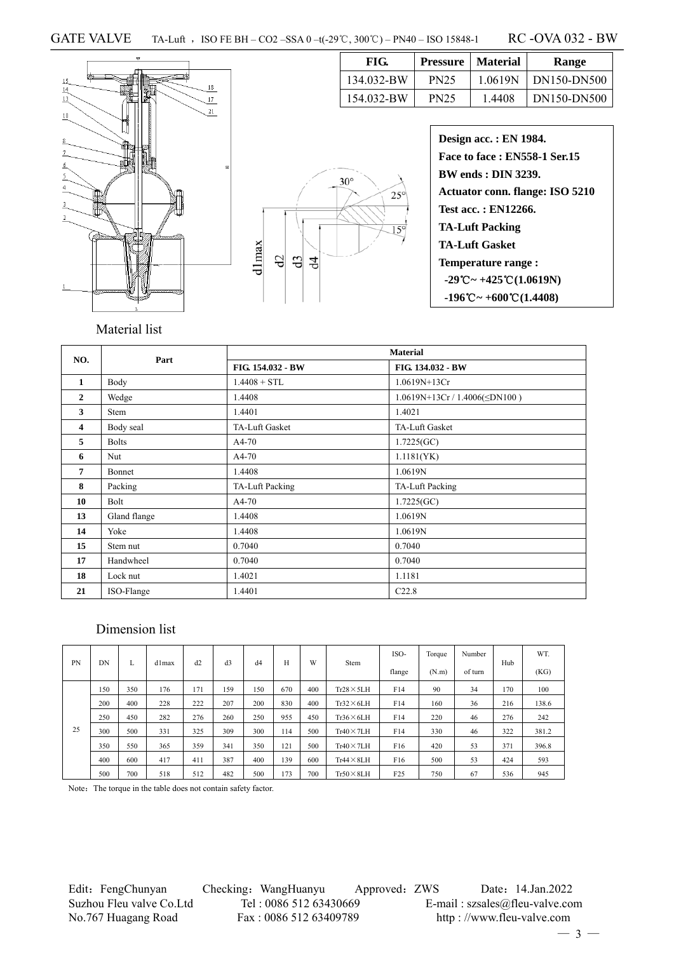

| FIG.       | <b>Pressure</b>   Material |         | Range       |
|------------|----------------------------|---------|-------------|
| 134.032-BW | <b>PN25</b>                | 1.0619N | DN150-DN500 |
| 154.032-BW | <b>PN25</b>                | 1.4408  | DN150-DN500 |



| <b>Design acc.: EN 1984.</b>                                      |
|-------------------------------------------------------------------|
| <b>Face to face : EN558-1 Ser.15</b>                              |
| <b>BW ends: DIN 3239.</b>                                         |
| <b>Actuator conn. flange: ISO 5210</b>                            |
| Test acc.: EN12266.                                               |
| <b>TA-Luft Packing</b>                                            |
| <b>TA-Luft Gasket</b>                                             |
| <b>Temperature range:</b>                                         |
| $-29^{\circ}\text{C} \sim +425^{\circ}\text{C} (1.0619 \text{N})$ |
| $-196^{\circ}\text{C} \sim +600^{\circ}\text{C} (1.4408)$         |

## Material list

| NO.                     | Part         |                   | <b>Material</b>                   |  |  |  |
|-------------------------|--------------|-------------------|-----------------------------------|--|--|--|
|                         |              | FIG. 154.032 - BW | FIG. 134.032 - BW                 |  |  |  |
| $\mathbf{1}$            | Body         | $1.4408 + STL$    | 1.0619N+13Cr                      |  |  |  |
| $\mathbf{2}$            | Wedge        | 1.4408            | $1.0619N+13Cr/1.4006(\leq DN100)$ |  |  |  |
| 3                       | Stem         | 1.4401            | 1.4021                            |  |  |  |
| $\overline{\mathbf{4}}$ | Body seal    | TA-Luft Gasket    | TA-Luft Gasket                    |  |  |  |
| 5                       | <b>Bolts</b> | $A4-70$           | 1.7225(GC)                        |  |  |  |
| 6                       | Nut          | $A4-70$           | 1.1181(YK)                        |  |  |  |
| 7                       | Bonnet       | 1.4408            | 1.0619N                           |  |  |  |
| 8                       | Packing      | TA-Luft Packing   | TA-Luft Packing                   |  |  |  |
| 10                      | Bolt         | $A4-70$           | 1.7225(GC)                        |  |  |  |
| 13                      | Gland flange | 1.4408            | 1.0619N                           |  |  |  |
| 14                      | Yoke         | 1.4408            | 1.0619N                           |  |  |  |
| 15                      | Stem nut     | 0.7040            | 0.7040                            |  |  |  |
| 17                      | Handwheel    | 0.7040            | 0.7040                            |  |  |  |
| 18                      | Lock nut     | 1.4021            | 1.1181                            |  |  |  |
| 21                      | ISO-Flange   | 1.4401            | C22.8                             |  |  |  |

### Dimension list

|    | DΝ<br>L |     | d1max | d2  | d3  | d4  |     | W   | Stem              | ISO-            | Torque | Number  |     | WT.   |
|----|---------|-----|-------|-----|-----|-----|-----|-----|-------------------|-----------------|--------|---------|-----|-------|
| PN |         |     |       |     |     |     | H   |     |                   | flange          | (N.m)  | of turn | Hub | (KG)  |
|    | 150     | 350 | 176   | 171 | 159 | 150 | 670 | 400 | $Tr28 \times 5LH$ | F14             | 90     | 34      | 170 | 100   |
|    | 200     | 400 | 228   | 222 | 207 | 200 | 830 | 400 | $Tr32\times 6LH$  | F14             | 160    | 36      | 216 | 138.6 |
|    | 250     | 450 | 282   | 276 | 260 | 250 | 955 | 450 | $Tr36 \times 6LH$ | F14             | 220    | 46      | 276 | 242   |
| 25 | 300     | 500 | 331   | 325 | 309 | 300 | 114 | 500 | $Tr40 \times 7LH$ | F14             | 330    | 46      | 322 | 381.2 |
|    | 350     | 550 | 365   | 359 | 341 | 350 | 121 | 500 | $Tr40 \times 7LH$ | F <sub>16</sub> | 420    | 53      | 371 | 396.8 |
|    | 400     | 600 | 417   | 411 | 387 | 400 | 139 | 600 | $Tr44 \times 8LH$ | F <sub>16</sub> | 500    | 53      | 424 | 593   |
|    | 500     | 700 | 518   | 512 | 482 | 500 | 173 | 700 | $Tr50 \times 8LH$ | F <sub>25</sub> | 750    | 67      | 536 | 945   |

Note: The torque in the table does not contain safety factor.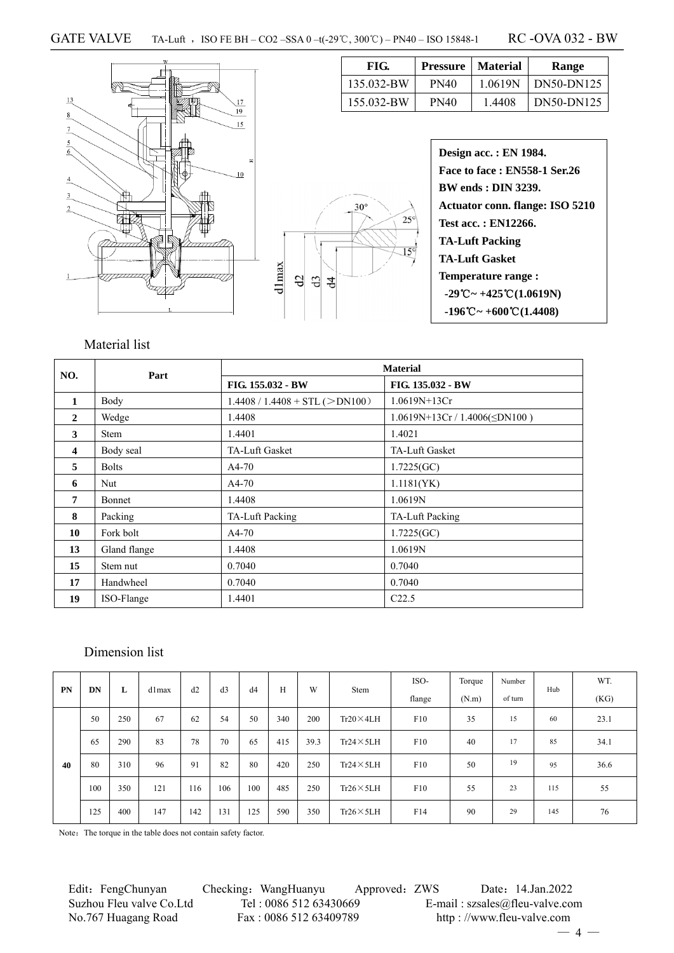$d$ lmax  $\mbox{d}$ 



| FIG.       | Pressure    | <b>Material</b> | Range      |
|------------|-------------|-----------------|------------|
| 135.032-BW | <b>PN40</b> | 1.0619N         | DN50-DN125 |
| 155.032-BW | <b>PN40</b> | 1.4408          | DN50-DN125 |

|            | <b>Design</b> |
|------------|---------------|
|            | Face t        |
|            | <b>BW</b> er  |
| $30^\circ$ | Actua         |
| $25^\circ$ | Test a        |
|            | TA-Lu         |
| $15^\circ$ | TA-Lu         |
| d3<br>4    | <b>Tempo</b>  |
|            | $-29^\circ$   |
|            | $-196^\circ$  |
|            |               |

| Design acc.: EN 1984.                                            |
|------------------------------------------------------------------|
| Face to face: EN558-1 Ser.26                                     |
| <b>BW</b> ends : <b>DIN</b> 3239.                                |
| Actuator conn. flange: ISO 5210                                  |
| Test acc. : EN12266.                                             |
| TA-Luft Packing                                                  |
| <b>TA-Luft Gasket</b>                                            |
| <b>Temperature range:</b>                                        |
| $-29^{\circ}\text{C} \sim +425^{\circ}\text{C} (1.0619\text{N})$ |
| $-196^{\circ}\text{C} \sim +600^{\circ}\text{C} (1.4408)$        |
|                                                                  |

## Material list

| NO.          | Part          | <b>Material</b>                  |                                     |  |  |  |  |  |  |
|--------------|---------------|----------------------------------|-------------------------------------|--|--|--|--|--|--|
|              |               | FIG. 155.032 - BW                | FIG. 135.032 - BW                   |  |  |  |  |  |  |
| $\mathbf{1}$ | Body          | $1.4408 / 1.4408 + STL (>DN100)$ | $1.0619N+13Cr$                      |  |  |  |  |  |  |
| $\mathbf{2}$ | Wedge         | 1.4408                           | $1.0619N+13Cr / 1.4006(\leq DN100)$ |  |  |  |  |  |  |
| 3            | <b>Stem</b>   | 1.4401                           | 1.4021                              |  |  |  |  |  |  |
| 4            | Body seal     | TA-Luft Gasket                   | TA-Luft Gasket                      |  |  |  |  |  |  |
| 5            | <b>Bolts</b>  | $A4-70$                          | 1.7225(GC)                          |  |  |  |  |  |  |
| 6            | Nut           | $A4-70$                          | 1.1181(YK)                          |  |  |  |  |  |  |
| 7            | <b>Bonnet</b> | 1.4408                           | 1.0619N                             |  |  |  |  |  |  |
| 8            | Packing       | TA-Luft Packing                  | TA-Luft Packing                     |  |  |  |  |  |  |
| 10           | Fork bolt     | $A4-70$                          | 1.7225(GC)                          |  |  |  |  |  |  |
| 13           | Gland flange  | 1.4408                           | 1.0619N                             |  |  |  |  |  |  |
| 15           | Stem nut      | 0.7040                           | 0.7040                              |  |  |  |  |  |  |
| 17           | Handwheel     | 0.7040                           | 0.7040                              |  |  |  |  |  |  |
| 19           | ISO-Flange    | 1.4401                           | C22.5                               |  |  |  |  |  |  |

## Dimension list

| <b>PN</b> | DN  | L   | dlmax | d2  | d3  | d4  | H   | W    | Stem                                       | ISO- | Torque | Number   | Hub  | WT.  |
|-----------|-----|-----|-------|-----|-----|-----|-----|------|--------------------------------------------|------|--------|----------|------|------|
|           |     |     |       |     |     |     |     |      | flange                                     |      | (N.m)  | of turn  |      | (KG) |
|           | 50  | 250 | 67    | 62  | 54  | 50  | 340 | 200  | F10<br>35<br>$Tr20 \times 4LH$<br>15<br>60 |      | 23.1   |          |      |      |
|           | 65  | 290 | 83    | 78  | 70  | 65  | 415 | 39.3 | $Tr24 \times 5LH$                          | F10  | 40     | 17<br>85 | 34.1 |      |
| 40        | 80  | 310 | 96    | 91  | 82  | 80  | 420 | 250  | $Tr24 \times 5LH$                          | F10  | 50     | 19       | 95   | 36.6 |
|           | 100 | 350 | 121   | 116 | 106 | 100 | 485 | 250  | $Tr26 \times 5LH$                          | F10  | 55     | 23       | 115  | 55   |
|           | 125 | 400 | 147   | 142 | 131 | 125 | 590 | 350  | $Tr26 \times 5LH$                          | F14  | 90     | 29       | 145  | 76   |

Note: The torque in the table does not contain safety factor.

Edit: FengChunyan Checking: WangHuanyu Approved: ZWS Date: 14.Jan.2022 Suzhou Fleu valve Co.Ltd Tel : 0086 512 63430669 E-mail : szsales@fleu-valve.com No.767 Huagang Road Fax : 0086 512 63409789 http : //www.fleu-valve.com

 $-4-$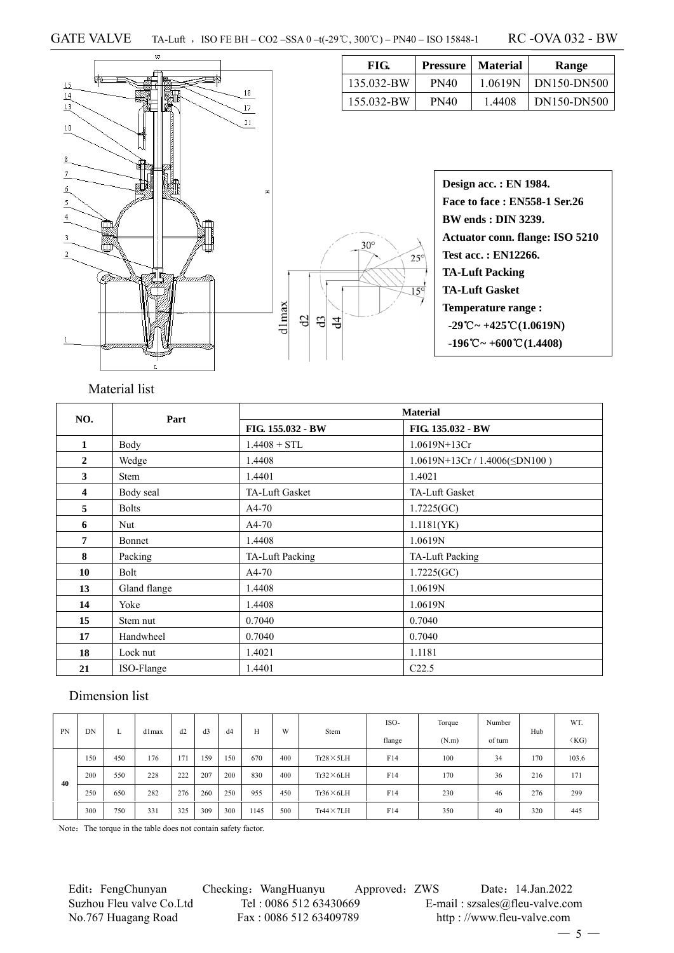



| Design acc. : EN 1984.                                           |  |
|------------------------------------------------------------------|--|
| <b>Face to face: EN558-1 Ser.26</b>                              |  |
| <b>BW ends: DIN 3239.</b>                                        |  |
| Actuator conn. flange: ISO 5210                                  |  |
| Test acc. : EN12266.                                             |  |
| <b>TA-Luft Packing</b>                                           |  |
| <b>TA-Luft Gasket</b>                                            |  |
| Temperature range:                                               |  |
| $-29^{\circ}\text{C} \sim +425^{\circ}\text{C} (1.0619\text{N})$ |  |
| $-196^{\circ}\text{C} \sim +600^{\circ}\text{C} (1.4408)$        |  |

**FIG. Pressure Material Range**  135.032-BW PN40 1.0619N DN150-DN500 155.032-BW PN40 1.4408 DN150-DN500

## Material list

| NO.                     | Part                                     |                                             | <b>Material</b>   |  |  |  |
|-------------------------|------------------------------------------|---------------------------------------------|-------------------|--|--|--|
|                         |                                          | FIG. 155.032 - BW                           | FIG. 135.032 - BW |  |  |  |
| 1                       | $1.0619N+13Cr$<br>Body<br>$1.4408 + STL$ |                                             |                   |  |  |  |
| $\mathbf{2}$            | Wedge                                    | $1.0619N+13Cr/1.4006(\leq DN100)$<br>1.4408 |                   |  |  |  |
| 3                       | <b>Stem</b>                              | 1.4401<br>1.4021                            |                   |  |  |  |
| $\overline{\mathbf{4}}$ | Body seal                                | TA-Luft Gasket<br>TA-Luft Gasket            |                   |  |  |  |
| 5                       | <b>Bolts</b>                             | $A4-70$                                     | 1.7225(GC)        |  |  |  |
| 6                       | Nut                                      | $A4-70$                                     | 1.1181(YK)        |  |  |  |
| 7                       | Bonnet                                   | 1.4408                                      | 1.0619N           |  |  |  |
| 8                       | Packing                                  | TA-Luft Packing                             | TA-Luft Packing   |  |  |  |
| 10                      | Bolt                                     | $A4-70$                                     | 1.7225(GC)        |  |  |  |
| 13                      | Gland flange                             | 1.4408                                      | 1.0619N           |  |  |  |
| 14                      | Yoke                                     | 1.4408                                      | 1.0619N           |  |  |  |
| 15                      | Stem nut                                 | 0.7040                                      | 0.7040            |  |  |  |
| 17                      | Handwheel                                | 0.7040                                      | 0.7040            |  |  |  |
| 18                      | Lock nut                                 | 1.4021                                      | 1.1181            |  |  |  |
| 21                      | ISO-Flange                               | C22.5<br>1.4401                             |                   |  |  |  |

### Dimension list

| <b>PN</b> | DN  | л.  | d1max | d2  | d3  | d4  | Н    | W   | Stem              | ISO- | Torque | Number | Hub   | WT.     |  |      |
|-----------|-----|-----|-------|-----|-----|-----|------|-----|-------------------|------|--------|--------|-------|---------|--|------|
|           |     |     |       |     |     |     |      |     |                   |      |        | flange | (N.m) | of turn |  | (KG) |
|           | 150 | 450 | 176   | 171 | 159 | 150 | 670  | 400 | $Tr28 \times 5LH$ | F14  | 100    | 34     | 170   | 103.6   |  |      |
| 40        | 200 | 550 | 228   | 222 | 207 | 200 | 830  | 400 | $Tr32\times 6LH$  | F14  | 170    | 36     | 216   | 171     |  |      |
|           | 250 | 650 | 282   | 276 | 260 | 250 | 955  | 450 | $Tr36\times 6LH$  | F14  | 230    | 46     | 276   | 299     |  |      |
|           | 300 | 750 | 331   | 325 | 309 | 300 | 1145 | 500 | $Tr44 \times 7LH$ | F14  | 350    | 40     | 320   | 445     |  |      |

Note: The torque in the table does not contain safety factor.

Edit: FengChunyan Checking: WangHuanyu Approved: ZWS Date: 14.Jan.2022 Suzhou Fleu valve Co.Ltd Tel : 0086 512 63430669 E-mail : szsales@fleu-valve.com<br>No.767 Huagang Road Fax : 0086 512 63409789 http : //www.fleu-valve.com No.767 Huagang Road Fax : 0086 512 63409789 http : //www.fleu-valve.com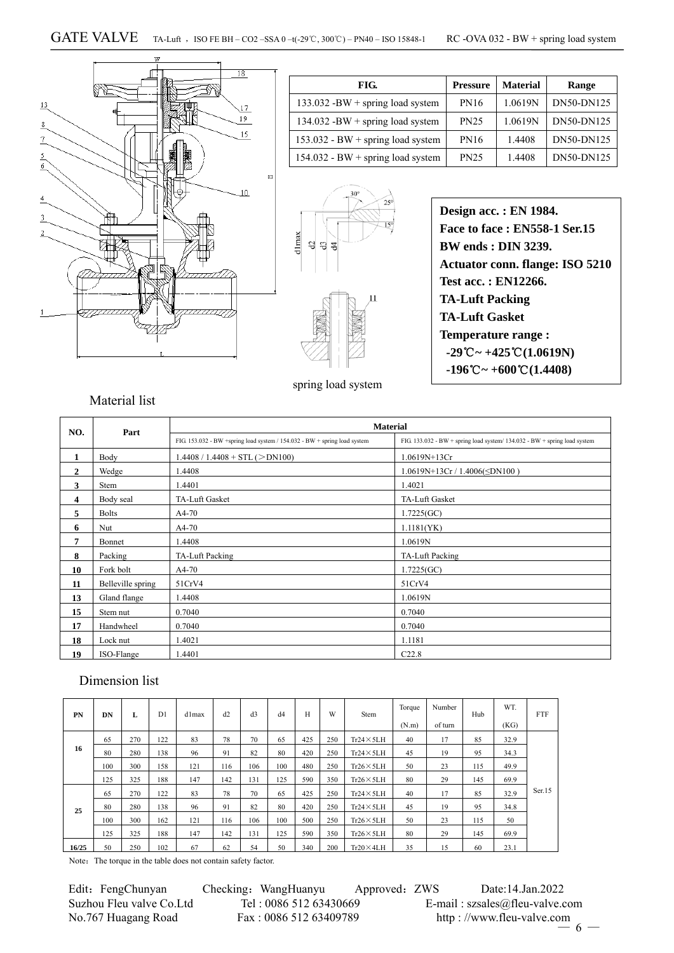

| FIG.                                | <b>Pressure</b> | <b>Material</b> | Range      |
|-------------------------------------|-----------------|-----------------|------------|
| $133.032 - BW + spring load system$ | <b>PN16</b>     | 1.0619N         | DN50-DN125 |
| $134.032 - BW + spring load system$ | <b>PN25</b>     | 1.0619N         | DN50-DN125 |
| $153.032 - BW + spring load system$ | <b>PN16</b>     | 1.4408          | DN50-DN125 |
| 154.032 - BW + spring load system   | <b>PN25</b>     | 1.4408          | DN50-DN125 |



spring load system

**Design acc. : EN 1984. Face to face : EN558-1 Ser.15 BW ends : DIN 3239. Actuator conn. flange: ISO 5210 Test acc. : EN12266. TA-Luft Packing TA-Luft Gasket Temperature range :**   $-29^{\circ}\text{C} \sim +425^{\circ}\text{C} (1.0619\text{N})$  $-196^{\circ}\text{C} \sim +600^{\circ}\text{C} (1.4408)$ 

#### Material list

| NO.            | Part              |                                                                           | <b>Material</b>                                                           |
|----------------|-------------------|---------------------------------------------------------------------------|---------------------------------------------------------------------------|
|                |                   | FIG. 153.032 - BW +spring load system / 154.032 - BW + spring load system | FIG. 133.032 - BW + spring load system/ 134.032 - BW + spring load system |
| 1              | Body              | $1.4408 / 1.4408 + STL (>DN100)$                                          | 1.0619N+13Cr                                                              |
| $\overline{2}$ | Wedge             | 1.4408                                                                    | $1.0619N+13Cr/1.4006(\leq DN100)$                                         |
| 3              | <b>Stem</b>       | 1.4401                                                                    | 1.4021                                                                    |
| 4              | Body seal         | TA-Luft Gasket                                                            | TA-Luft Gasket                                                            |
| 5              | <b>Bolts</b>      | $A4-70$                                                                   | 1.7225(GC)                                                                |
| 6              | Nut               | $A4-70$                                                                   | 1.1181(YK)                                                                |
| $\overline{7}$ | Bonnet            | 1.4408                                                                    | 1.0619N                                                                   |
| 8              | Packing           | TA-Luft Packing                                                           | TA-Luft Packing                                                           |
| 10             | Fork bolt         | $A4-70$                                                                   | 1.7225(GC)                                                                |
| 11             | Belleville spring | 51CrV4                                                                    | 51CrV4                                                                    |
| 13             | Gland flange      | 1.4408                                                                    | 1.0619N                                                                   |
| 15             | Stem nut          | 0.7040                                                                    | 0.7040                                                                    |
| 17             | Handwheel         | 0.7040                                                                    | 0.7040                                                                    |
| 18             | Lock nut          | 1.4021                                                                    | 1.1181                                                                    |
| 19             | ISO-Flange        | 1.4401                                                                    | C22.8                                                                     |

## Dimension list

| PN    | DN  | L   | D1  | d1max | d2  | d <sub>3</sub> | d4  | H   | W   | Stem              | Torque<br>(N.m) | Number<br>of turn | Hub | <b>WT</b><br>(KG) | <b>FTF</b> |
|-------|-----|-----|-----|-------|-----|----------------|-----|-----|-----|-------------------|-----------------|-------------------|-----|-------------------|------------|
|       | 65  | 270 | 122 | 83    | 78  | 70             | 65  | 425 | 250 | $Tr24 \times 5LH$ | 40              | 17                | 85  | 32.9              |            |
| 16    | 80  | 280 | 138 | 96    | 91  | 82             | 80  | 420 | 250 | $Tr24 \times 5LH$ | 45              | 19                | 95  | 34.3              |            |
|       | 100 | 300 | 158 | 121   | 116 | 106            | 100 | 480 | 250 | $Tr26 \times 5LH$ | 50              | 23                | 115 | 49.9              |            |
|       | 125 | 325 | 188 | 147   | 142 | 131            | 125 | 590 | 350 | $Tr26 \times 5LH$ | 80              | 29                | 145 | 69.9              |            |
|       | 65  | 270 | 122 | 83    | 78  | 70             | 65  | 425 | 250 | $Tr24 \times 5LH$ | 40              | 17                | 85  | 32.9              | Ser.15     |
| 25    | 80  | 280 | 138 | 96    | 91  | 82             | 80  | 420 | 250 | $Tr24 \times 5LH$ | 45              | 19                | 95  | 34.8              |            |
|       | 100 | 300 | 162 | 121   | 116 | 106            | 100 | 500 | 250 | $Tr26 \times 5LH$ | 50              | 23                | 115 | 50                |            |
|       | 125 | 325 | 188 | 147   | 142 | 131            | 125 | 590 | 350 | $Tr26 \times 5LH$ | 80              | 29                | 145 | 69.9              |            |
| 16/25 | 50  | 250 | 102 | 67    | 62  | 54             | 50  | 340 | 200 | $Tr20 \times 4LH$ | 35              | 15                | 60  | 23.1              |            |

Note: The torque in the table does not contain safety factor.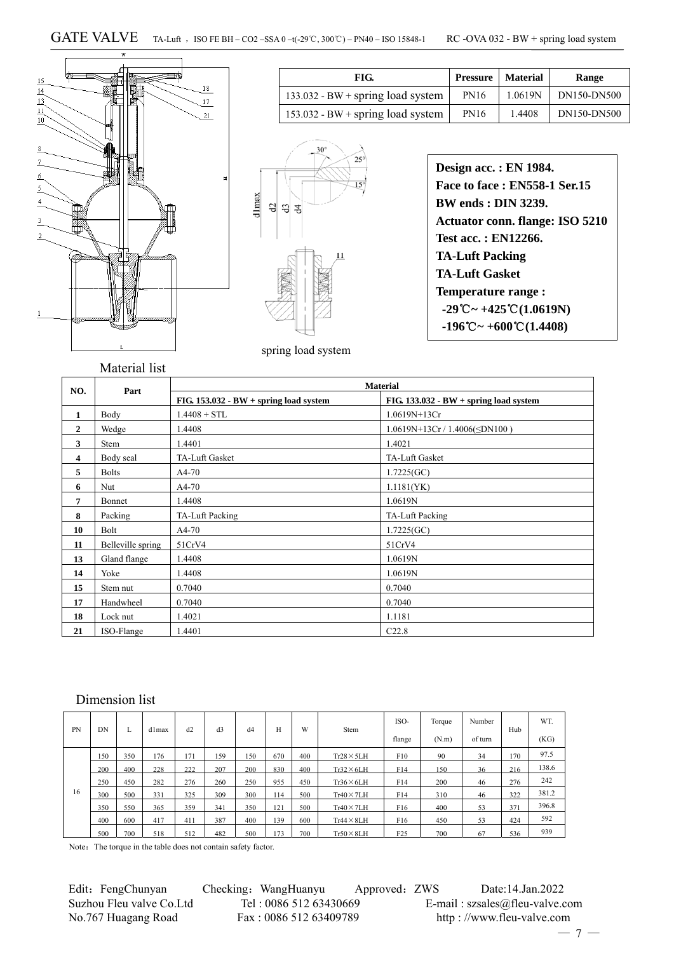

| FIG.                                | <b>Pressure</b>   Material |        | Range                 |
|-------------------------------------|----------------------------|--------|-----------------------|
| $133.032 - BW + spring load system$ | <b>PN16</b>                |        | $1.0619N$ DN150-DN500 |
| $153.032 - BW + spring load system$ | <b>PN16</b>                | 1.4408 | DN150-DN500           |



| Design acc.: EN 1984.                                            |
|------------------------------------------------------------------|
| Face to face: EN558-1 Ser.15                                     |
| <b>BW</b> ends : <b>DIN</b> 3239.                                |
| <b>Actuator conn. flange: ISO 5210</b>                           |
| <b>Test acc.: EN12266.</b>                                       |
| <b>TA-Luft Packing</b>                                           |
| <b>TA-Luft Gasket</b>                                            |
| <b>Temperature range:</b>                                        |
| $-29^{\circ}\text{C} \sim +425^{\circ}\text{C} (1.0619\text{N})$ |
| $-196^{\circ}\text{C} \sim +600^{\circ}\text{C} (1.4408)$        |
|                                                                  |

spring load system

|                |                   | <b>Material</b>                          |                                          |  |  |  |  |  |  |  |
|----------------|-------------------|------------------------------------------|------------------------------------------|--|--|--|--|--|--|--|
| NO.            | Part              | FIG. $153.032 - BW + spring load system$ | FIG. $133.032 - BW + spring load system$ |  |  |  |  |  |  |  |
| 1              | Body              | $1.4408 + STL$                           | $1.0619N+13Cr$                           |  |  |  |  |  |  |  |
| $\overline{2}$ | Wedge             | 1.4408                                   | $1.0619N+13Cr/1.4006(\leq DN100)$        |  |  |  |  |  |  |  |
| 3              | Stem              | 1.4401                                   | 1.4021                                   |  |  |  |  |  |  |  |
| 4              | Body seal         | TA-Luft Gasket                           | <b>TA-Luft Gasket</b>                    |  |  |  |  |  |  |  |
| 5              | <b>Bolts</b>      | $A4-70$                                  | 1.7225(GC)                               |  |  |  |  |  |  |  |
| 6              | Nut               | $A4-70$                                  | 1.1181(YK)                               |  |  |  |  |  |  |  |
| 7              | Bonnet            | 1.4408                                   | 1.0619N                                  |  |  |  |  |  |  |  |
| 8              | Packing           | TA-Luft Packing                          | TA-Luft Packing                          |  |  |  |  |  |  |  |
| 10             | Bolt              | A4-70                                    | 1.7225(GC)                               |  |  |  |  |  |  |  |
| 11             | Belleville spring | 51CrV4                                   | 51CrV4                                   |  |  |  |  |  |  |  |
| 13             | Gland flange      | 1.4408                                   | 1.0619N                                  |  |  |  |  |  |  |  |
| 14             | Yoke              | 1.4408                                   | 1.0619N                                  |  |  |  |  |  |  |  |
| 15             | Stem nut          | 0.7040                                   | 0.7040                                   |  |  |  |  |  |  |  |
| 17             | Handwheel         | 0.7040                                   | 0.7040                                   |  |  |  |  |  |  |  |
| 18             | Lock nut          | 1.4021                                   | 1.1181                                   |  |  |  |  |  |  |  |
| 21             | ISO-Flange        | 1.4401                                   | C22.8                                    |  |  |  |  |  |  |  |

## Dimension list

| <b>PN</b> | DN  |     | d1max | d2  | d <sub>3</sub> | d4  | Н   | W   | Stem               | ISO-            | Torque | Number  | Hub | WT.   |
|-----------|-----|-----|-------|-----|----------------|-----|-----|-----|--------------------|-----------------|--------|---------|-----|-------|
|           |     | н.  |       |     |                |     |     |     |                    | flange          | (N.m)  | of turn |     | (KG)  |
|           | 150 | 350 | 176   | 171 | 159            | 150 | 670 | 400 | $Tr28 \times 5LH$  | F10             | 90     | 34      | 170 | 97.5  |
|           | 200 | 400 | 228   | 222 | 207            | 200 | 830 | 400 | $Tr32\times 6LH$   | F14             | 150    | 36      | 216 | 138.6 |
|           | 250 | 450 | 282   | 276 | 260            | 250 | 955 | 450 | $Tr36 \times 6LH$  | F14             | 200    | 46      | 276 | 242   |
| 16        | 300 | 500 | 331   | 325 | 309            | 300 | 114 | 500 | $Tr40 \times 7LH$  | F14             | 310    | 46      | 322 | 381.2 |
|           | 350 | 550 | 365   | 359 | 341            | 350 | 121 | 500 | $Tr40 \times 71$ H | F16             | 400    | 53      | 371 | 396.8 |
|           | 400 | 600 | 417   | 411 | 387            | 400 | 139 | 600 | $Tr44 \times 8LH$  | F <sub>16</sub> | 450    | 53      | 424 | 592   |
|           | 500 | 700 | 518   | 512 | 482            | 500 | 73  | 700 | $Tr50 \times 8LH$  | F25             | 700    | 67      | 536 | 939   |

Note: The torque in the table does not contain safety factor.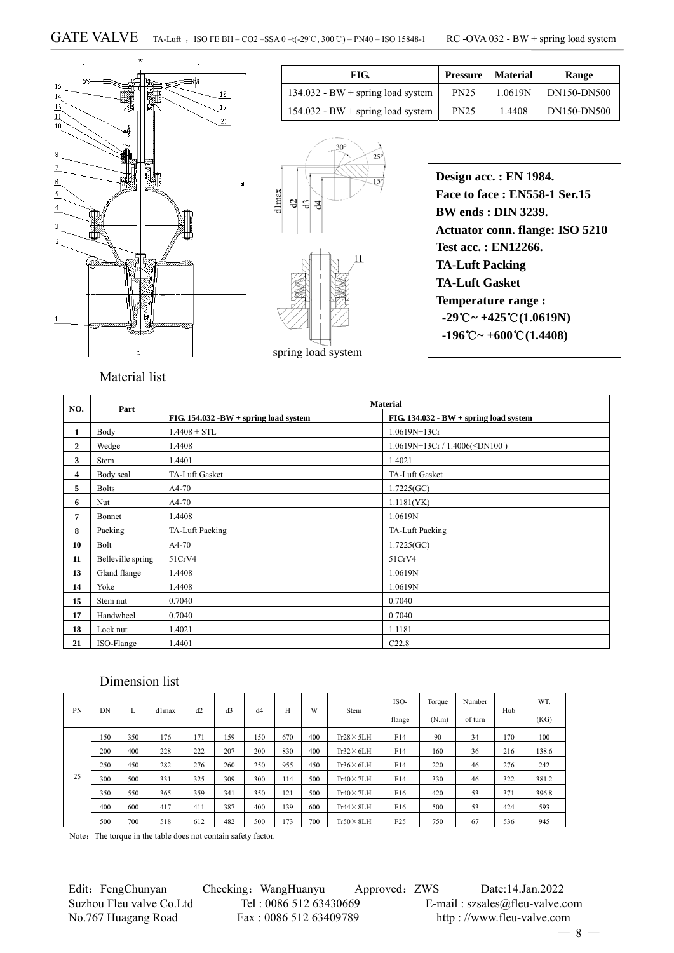

| FIG.                                | <b>Pressure</b> | Material | Range       |
|-------------------------------------|-----------------|----------|-------------|
| $134.032 - BW + spring load system$ | <b>PN25</b>     | 1.0619N  | DN150-DN500 |
| $154.032 - BW + spring load system$ | <b>PN25</b>     | 1.4408   | DN150-DN500 |



| Design acc.: EN 1984.                                            |
|------------------------------------------------------------------|
| <b>Face to face: EN558-1 Ser.15</b>                              |
| <b>RW</b> ends : DIN 3239.                                       |
| <b>Actuator conn. flange: ISO 5210</b>                           |
| <b>Test acc.: EN12266.</b>                                       |
| <b>TA-Luft Packing</b>                                           |
| <b>TA-Luft Gasket</b>                                            |
| <b>Temperature range:</b>                                        |
| $-29^{\circ}\text{C} \sim +425^{\circ}\text{C} (1.0619\text{N})$ |
| $-196^{\circ}\text{C} \sim +600^{\circ}\text{C} (1.4408)$        |
|                                                                  |

## Material list

| NO.            | Part              |                                          | <b>Material</b>                        |
|----------------|-------------------|------------------------------------------|----------------------------------------|
|                |                   | FIG. $154.032 - BW + spring load system$ | FIG. 134.032 - BW + spring load system |
| $\mathbf{1}$   | Body              | $1.4408 + STL$                           | 1.0619N+13Cr                           |
| $\overline{2}$ | Wedge             | 1.4408                                   | 1.0619N+13Cr / 1.4006( $\leq$ DN100)   |
| $\mathbf{3}$   | Stem              | 1.4401                                   | 1.4021                                 |
| 4              | Body seal         | TA-Luft Gasket                           | TA-Luft Gasket                         |
| 5              | <b>Bolts</b>      | $A4-70$                                  | 1.7225(GC)                             |
| 6              | Nut               | A4-70                                    | 1.1181(YK)                             |
| $\overline{7}$ | Bonnet            | 1.4408                                   | 1.0619N                                |
| 8              | Packing           | TA-Luft Packing                          | TA-Luft Packing                        |
| 10             | Bolt              | A4-70                                    | 1.7225(GC)                             |
| 11             | Belleville spring | 51CrV4                                   | 51CrV4                                 |
| 13             | Gland flange      | 1.4408                                   | 1.0619N                                |
| 14             | Yoke              | 1.4408                                   | 1.0619N                                |
| 15             | Stem nut          | 0.7040                                   | 0.7040                                 |
| 17             | Handwheel         | 0.7040                                   | 0.7040                                 |
| 18             | Lock nut          | 1.4021                                   | 1.1181                                 |
| 21             | ISO-Flange        | 1.4401                                   | C22.8                                  |

### Dimension list

|           |     |     |       | d2  |     | d4  | H   | W   | Stem              | ISO-            | Torque | Number  |     | WT.   |
|-----------|-----|-----|-------|-----|-----|-----|-----|-----|-------------------|-----------------|--------|---------|-----|-------|
| <b>PN</b> | DN  | L   | d1max |     | d3  |     |     |     |                   | flange          | (N.m)  | of turn | Hub | (KG)  |
|           | 150 | 350 | 176   | 171 | 159 | 150 | 670 | 400 | $Tr28 \times 5LH$ | F14             | 90     | 34      | 170 | 100   |
|           | 200 | 400 | 228   | 222 | 207 | 200 | 830 | 400 | $Tr32\times 6LH$  | F14             | 160    | 36      | 216 | 138.6 |
|           | 250 | 450 | 282   | 276 | 260 | 250 | 955 | 450 | $Tr36\times 6LH$  | F14             | 220    | 46      | 276 | 242   |
| 25        | 300 | 500 | 331   | 325 | 309 | 300 | 114 | 500 | $Tr40 \times 7LH$ | F14             | 330    | 46      | 322 | 381.2 |
|           | 350 | 550 | 365   | 359 | 341 | 350 | 121 | 500 | $Tr40 \times 7LH$ | F <sub>16</sub> | 420    | 53      | 371 | 396.8 |
|           | 400 | 600 | 417   | 411 | 387 | 400 | 139 | 600 | $Tr44 \times 8LH$ | F <sub>16</sub> | 500    | 53      | 424 | 593   |
|           | 500 | 700 | 518   | 612 | 482 | 500 | 173 | 700 | $Tr50 \times 8LH$ | F25             | 750    | 67      | 536 | 945   |

Note: The torque in the table does not contain safety factor.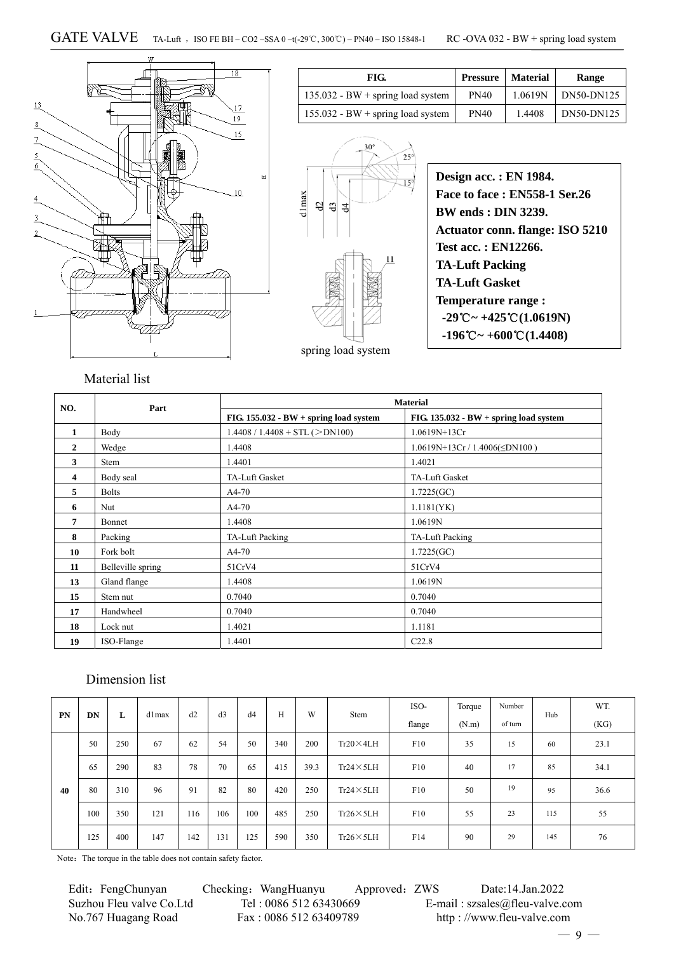

| FIG.                                | Pressure    | <b>Material</b> | Range        |
|-------------------------------------|-------------|-----------------|--------------|
| $135.032 - BW + spring load system$ | <b>PN40</b> | 1.0619N         | $DN50-DN125$ |
| $155.032 - BW + spring load system$ | <b>PN40</b> | 1.4408          | DN50-DN125   |



| Design acc. : EN 1984.                                           |
|------------------------------------------------------------------|
| <b>Face to face: EN558-1 Ser.26</b>                              |
| <b>BW</b> ends : <b>DIN</b> 3239.                                |
| <b>Actuator conn. flange: ISO 5210</b>                           |
| Test acc.: EN12266.                                              |
| <b>TA-Luft Packing</b>                                           |
| <b>TA-Luft Gasket</b>                                            |
| <b>Temperature range:</b>                                        |
| $-29^{\circ}\text{C} \sim +425^{\circ}\text{C} (1.0619\text{N})$ |
| $-196^{\circ}\text{C} \sim +600^{\circ}\text{C} (1.4408)$        |
|                                                                  |

Material list

| NO.          | Part              |                                          | <b>Material</b>                          |
|--------------|-------------------|------------------------------------------|------------------------------------------|
|              |                   | FIG. $155.032 - BW + spring load system$ | FIG. $135.032 - BW + spring load system$ |
| 1            | Body              | $1.4408 / 1.4408 + STL (>DN100)$         | $1.0619N+13Cr$                           |
| $\mathbf{2}$ | Wedge             | 1.4408                                   | $1.0619N+13Cr/1.4006(\leq DN100)$        |
| 3            | <b>Stem</b>       | 1.4401                                   | 1.4021                                   |
| 4            | Body seal         | TA-Luft Gasket                           | TA-Luft Gasket                           |
| 5            | <b>Bolts</b>      | $A4-70$                                  | 1.7225(GC)                               |
| 6            | Nut.              | $A4-70$                                  | 1.1181(YK)                               |
| 7            | Bonnet            | 1.4408                                   | 1.0619N                                  |
| 8            | Packing           | TA-Luft Packing                          | TA-Luft Packing                          |
| 10           | Fork bolt         | $A4-70$                                  | 1.7225(GC)                               |
| 11           | Belleville spring | 51CrV4                                   | 51CrV4                                   |
| 13           | Gland flange      | 1.4408                                   | 1.0619N                                  |
| 15           | Stem nut          | 0.7040                                   | 0.7040                                   |
| 17           | Handwheel         | 0.7040                                   | 0.7040                                   |
| 18           | Lock nut          | 1.4021                                   | 1.1181                                   |
| 19           | ISO-Flange        | 1.4401                                   | C22.8                                    |

#### Dimension list

| <b>PN</b> | DN  | L   | dlmax | d2  | d3  | d4  | H   | W    | Stem              | ISO-   | Torque | Number  | Hub | WT.  |
|-----------|-----|-----|-------|-----|-----|-----|-----|------|-------------------|--------|--------|---------|-----|------|
|           |     |     |       |     |     |     |     |      |                   | flange | (N.m)  | of turn |     | (KG) |
|           | 50  | 250 | 67    | 62  | 54  | 50  | 340 | 200  | $Tr20 \times 4LH$ | F10    | 35     | 15      | 60  | 23.1 |
|           | 65  | 290 | 83    | 78  | 70  | 65  | 415 | 39.3 | $Tr24 \times 5LH$ | F10    | 40     | 17      | 85  | 34.1 |
| 40        | 80  | 310 | 96    | 91  | 82  | 80  | 420 | 250  | $Tr24 \times 5LH$ | F10    | 50     | 19      | 95  | 36.6 |
|           | 100 | 350 | 121   | 116 | 106 | 100 | 485 | 250  | $Tr26 \times 5LH$ | F10    | 55     | 23      | 115 | 55   |
|           | 125 | 400 | 147   | 142 | 131 | 125 | 590 | 350  | $Tr26 \times 5LH$ | F14    | 90     | 29      | 145 | 76   |

Note: The torque in the table does not contain safety factor.

Edit: FengChunyan Checking: WangHuanyu Approved: ZWS Date:14.Jan.2022 No.767 Huagang Road Fax : 0086 512 63409789 http : //www.fleu-valve.com

Suzhou Fleu valve Co.Ltd Tel : 0086 512 63430669 E-mail : szsales@fleu-valve.com

 $-9 -$